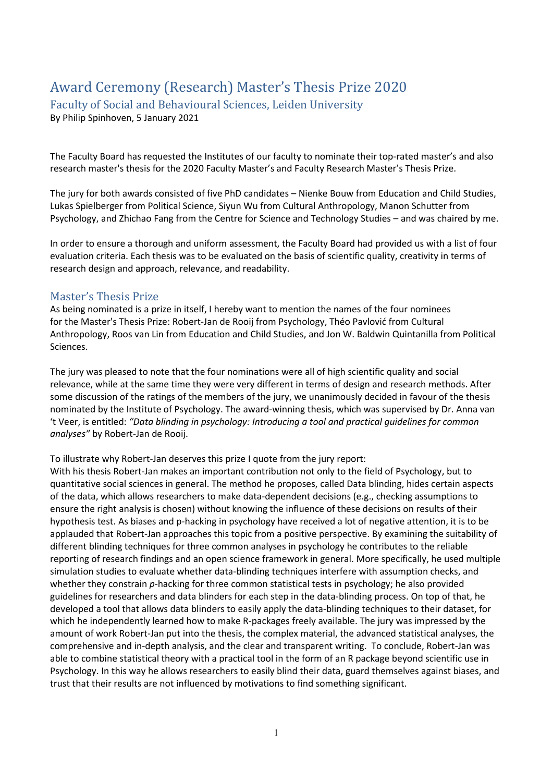## Award Ceremony (Research) Master's Thesis Prize 2020

Faculty of Social and Behavioural Sciences, Leiden University

By Philip Spinhoven, 5 January 2021

The Faculty Board has requested the Institutes of our faculty to nominate their top-rated master's and also research master's thesis for the 2020 Faculty Master's and Faculty Research Master's Thesis Prize.

The jury for both awards consisted of five PhD candidates – Nienke Bouw from Education and Child Studies, Lukas Spielberger from Political Science, Siyun Wu from Cultural Anthropology, Manon Schutter from Psychology, and Zhichao Fang from the Centre for Science and Technology Studies – and was chaired by me.

In order to ensure a thorough and uniform assessment, the Faculty Board had provided us with a list of four evaluation criteria. Each thesis was to be evaluated on the basis of scientific quality, creativity in terms of research design and approach, relevance, and readability.

## Master's Thesis Prize

As being nominated is a prize in itself, I hereby want to mention the names of the four nominees for the Master's Thesis Prize: Robert-Jan de Rooij from Psychology, Théo Pavlović from Cultural Anthropology, Roos van Lin from Education and Child Studies, and Jon W. Baldwin Quintanilla from Political Sciences.

The jury was pleased to note that the four nominations were all of high scientific quality and social relevance, while at the same time they were very different in terms of design and research methods. After some discussion of the ratings of the members of the jury, we unanimously decided in favour of the thesis nominated by the Institute of Psychology. The award-winning thesis, which was supervised by Dr. Anna van 't Veer, is entitled: *"Data blinding in psychology: Introducing a tool and practical guidelines for common analyses"* by Robert-Jan de Rooij.

To illustrate why Robert-Jan deserves this prize I quote from the jury report:

With his thesis Robert-Jan makes an important contribution not only to the field of Psychology, but to quantitative social sciences in general. The method he proposes, called Data blinding, hides certain aspects of the data, which allows researchers to make data-dependent decisions (e.g., checking assumptions to ensure the right analysis is chosen) without knowing the influence of these decisions on results of their hypothesis test. As biases and p-hacking in psychology have received a lot of negative attention, it is to be applauded that Robert-Jan approaches this topic from a positive perspective. By examining the suitability of different blinding techniques for three common analyses in psychology he contributes to the reliable reporting of research findings and an open science framework in general. More specifically, he used multiple simulation studies to evaluate whether data-blinding techniques interfere with assumption checks, and whether they constrain *p*-hacking for three common statistical tests in psychology; he also provided guidelines for researchers and data blinders for each step in the data-blinding process. On top of that, he developed a tool that allows data blinders to easily apply the data-blinding techniques to their dataset, for which he independently learned how to make R-packages freely available. The jury was impressed by the amount of work Robert-Jan put into the thesis, the complex material, the advanced statistical analyses, the comprehensive and in-depth analysis, and the clear and transparent writing. To conclude, Robert-Jan was able to combine statistical theory with a practical tool in the form of an R package beyond scientific use in Psychology. In this way he allows researchers to easily blind their data, guard themselves against biases, and trust that their results are not influenced by motivations to find something significant.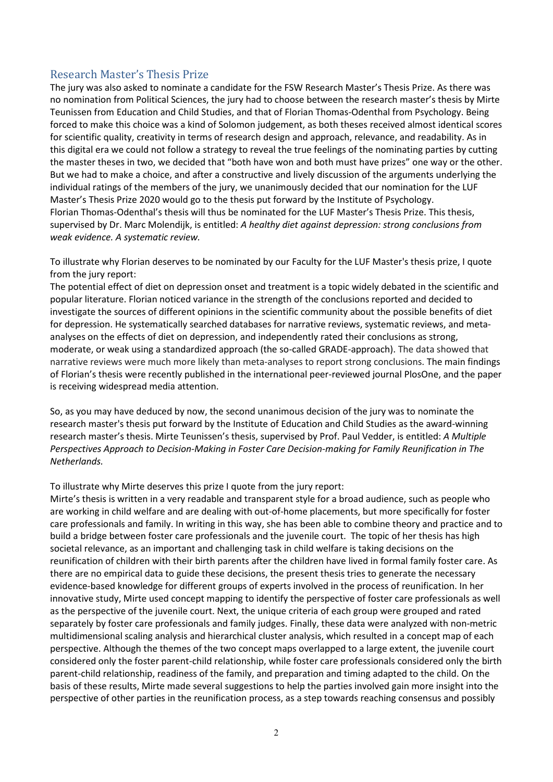## Research Master's Thesis Prize

The jury was also asked to nominate a candidate for the FSW Research Master's Thesis Prize. As there was no nomination from Political Sciences, the jury had to choose between the research master's thesis by Mirte Teunissen from Education and Child Studies, and that of Florian Thomas-Odenthal from Psychology. Being forced to make this choice was a kind of Solomon judgement, as both theses received almost identical scores for scientific quality, creativity in terms of research design and approach, relevance, and readability. As in this digital era we could not follow a strategy to reveal the true feelings of the nominating parties by cutting the master theses in two, we decided that "both have won and both must have prizes" one way or the other. But we had to make a choice, and after a constructive and lively discussion of the arguments underlying the individual ratings of the members of the jury, we unanimously decided that our nomination for the LUF Master's Thesis Prize 2020 would go to the thesis put forward by the Institute of Psychology. Florian Thomas-Odenthal's thesis will thus be nominated for the LUF Master's Thesis Prize. This thesis, supervised by Dr. Marc Molendijk, is entitled: *A healthy diet against depression: strong conclusions from weak evidence. A systematic review.*

To illustrate why Florian deserves to be nominated by our Faculty for the LUF Master's thesis prize, I quote from the jury report:

The potential effect of diet on depression onset and treatment is a topic widely debated in the scientific and popular literature. Florian noticed variance in the strength of the conclusions reported and decided to investigate the sources of different opinions in the scientific community about the possible benefits of diet for depression. He systematically searched databases for narrative reviews, systematic reviews, and metaanalyses on the effects of diet on depression, and independently rated their conclusions as strong, moderate, or weak using a standardized approach (the so-called GRADE-approach). The data showed that narrative reviews were much more likely than meta-analyses to report strong conclusions. The main findings of Florian's thesis were recently published in the international peer-reviewed journal PlosOne, and the paper is receiving widespread media attention.

So, as you may have deduced by now, the second unanimous decision of the jury was to nominate the research master's thesis put forward by the Institute of Education and Child Studies as the award-winning research master's thesis. Mirte Teunissen's thesis, supervised by Prof. Paul Vedder, is entitled: *A Multiple Perspectives Approach to Decision-Making in Foster Care Decision-making for Family Reunification in The Netherlands.*

To illustrate why Mirte deserves this prize I quote from the jury report:

Mirte's thesis is written in a very readable and transparent style for a broad audience, such as people who are working in child welfare and are dealing with out-of-home placements, but more specifically for foster care professionals and family. In writing in this way, she has been able to combine theory and practice and to build a bridge between foster care professionals and the juvenile court. The topic of her thesis has high societal relevance, as an important and challenging task in child welfare is taking decisions on the reunification of children with their birth parents after the children have lived in formal family foster care. As there are no empirical data to guide these decisions, the present thesis tries to generate the necessary evidence-based knowledge for different groups of experts involved in the process of reunification. In her innovative study, Mirte used concept mapping to identify the perspective of foster care professionals as well as the perspective of the juvenile court. Next, the unique criteria of each group were grouped and rated separately by foster care professionals and family judges. Finally, these data were analyzed with non-metric multidimensional scaling analysis and hierarchical cluster analysis, which resulted in a concept map of each perspective. Although the themes of the two concept maps overlapped to a large extent, the juvenile court considered only the foster parent-child relationship, while foster care professionals considered only the birth parent-child relationship, readiness of the family, and preparation and timing adapted to the child. On the basis of these results, Mirte made several suggestions to help the parties involved gain more insight into the perspective of other parties in the reunification process, as a step towards reaching consensus and possibly